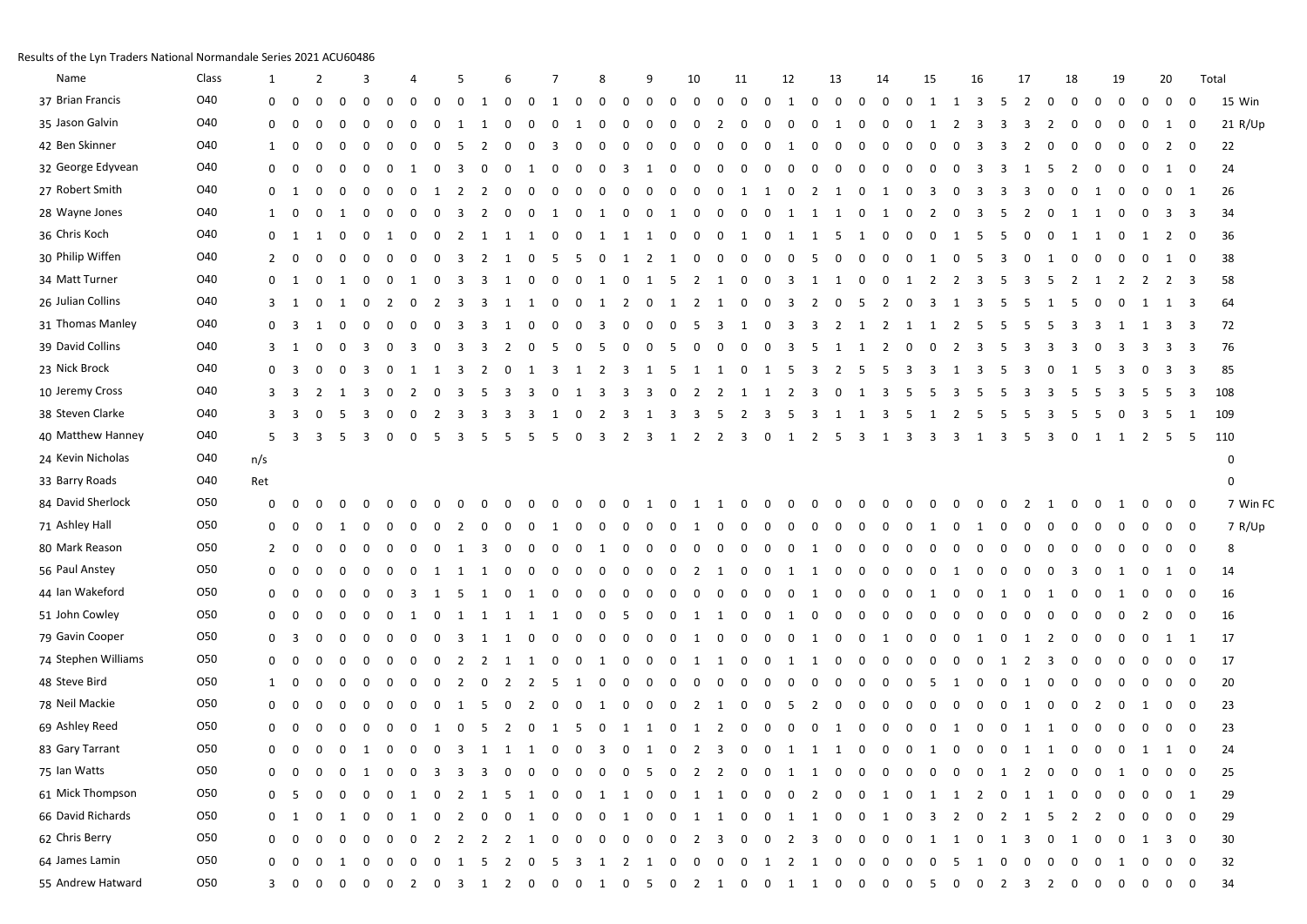## Results of the Lyn Traders National Normandale Series 2021 ACU60486

| Name                | Class      | 1              |             |                         | $\overline{2}$ |             | 3        |                |              |                |                         |                         |                          |          |             |             | 8           |              | 9            |                | 10                      |                         | 11                      |             | 12                      |                         | 13                      |                         | 14           |             | 15             | 16                                                                |              | 17             |             | 18                      |             | 19                          |                         | 20           |                | Total       |
|---------------------|------------|----------------|-------------|-------------------------|----------------|-------------|----------|----------------|--------------|----------------|-------------------------|-------------------------|--------------------------|----------|-------------|-------------|-------------|--------------|--------------|----------------|-------------------------|-------------------------|-------------------------|-------------|-------------------------|-------------------------|-------------------------|-------------------------|--------------|-------------|----------------|-------------------------------------------------------------------|--------------|----------------|-------------|-------------------------|-------------|-----------------------------|-------------------------|--------------|----------------|-------------|
| 37 Brian Francis    | O40        | 0              |             | 0                       | 0              | $\Omega$    |          | 0              | $\Omega$     | $\Omega$       | 0                       | -1                      | 0                        | $\Omega$ | 1           | 0           | 0           | 0            | 0            | $\Omega$       | 0                       | 0                       | 0                       | $\Omega$    | $\mathbf{1}$            | 0                       | $\mathbf 0$             | 0                       | 0            | $\mathbf 0$ | 1<br>-1        | 3                                                                 | 5            | 2              | $\Omega$    | 0                       | $\Omega$    | 0                           | 0                       | $\mathbf 0$  | 0              | 15 Win      |
| 35 Jason Galvin     | O40        | 0              |             | 0                       | $\Omega$       | $\Omega$    |          |                | $\Omega$     |                |                         |                         |                          |          | $\Omega$    |             | $\Omega$    | $\Omega$     | 0            | $\Omega$       | 0                       | 2                       | $\Omega$                | $\Omega$    | 0                       | 0                       | 1                       | $\Omega$                | 0            | $\Omega$    |                | 2<br>3                                                            | 3            | 3              | -2          | 0                       | 0           | 0                           | 0                       | 1            | 0              | 21 R/Up     |
| 42 Ben Skinner      | O40        | 1              |             | 0                       | 0              | $\Omega$    |          |                | $\Omega$     |                | .5                      | 2                       |                          | $\Omega$ | 3           | $\Omega$    | $\Omega$    | $\Omega$     |              | $\Omega$       | $\Omega$                | $\Omega$                | $\Omega$                | $\Omega$    | 1                       | <sup>0</sup>            | $\Omega$                | $\Omega$                | $\Omega$     | $\Omega$    |                | 3<br>n                                                            | 3            | 2              | $\Omega$    | 0                       | $\Omega$    | 0                           | 0                       | 2            | 0              | 22          |
| 32 George Edyvean   | O40        | 0              |             | 0                       | $\Omega$       | $\Omega$    |          |                |              |                | 3                       | $\Omega$                |                          |          | $\Omega$    | $\Omega$    | 0           | -3           | -1           | 0              | $\Omega$                | 0                       | 0                       | $\Omega$    | 0                       | <sup>0</sup>            | $\Omega$                | $\Omega$                | $\Omega$     | $\Omega$    |                | -3<br>- 0                                                         | 3            | -1             | -5          | 2                       |             | $\Omega$                    | 0                       | 1            | 0              | 24          |
| 27 Robert Smith     | O40        | $\Omega$       |             | - 1                     | $\Omega$       |             |          |                |              |                | 2                       | 2                       |                          |          | $\Omega$    | $\Omega$    | n           | $\Omega$     |              |                | $\Omega$                | 0                       | -1                      | 1           | 0                       | 2                       | 1                       | 0                       | -1           | $\Omega$    |                | 3                                                                 | 3            | 3              |             |                         | -1          | - 0                         | 0                       | 0            | 1              | 26          |
| 28 Wayne Jones      | O40        | 1              |             | 0                       | 0              | -1          |          | 0              | $\Omega$     | 0              | 3                       | 2                       |                          | 0        | 1           | 0           | -1          | 0            | 0            | -1             | 0                       | 0                       | 0                       | 0           | 1                       | -1                      | 1                       | 0                       | -1           | 0           | 2              | 3<br>-0                                                           | 5            | 2              | $\Omega$    | -1                      | -1          | 0                           | 0                       | 3            | -3             | 34          |
| 36 Chris Koch       | O40        | 0              |             | 1                       | -1             | $\Omega$    |          |                | $\Omega$     |                | 2                       |                         | -1                       | -1       | $\Omega$    |             | -1          | -1           | -1           | 0              | 0                       | 0                       | -1                      | $\Omega$    | 1                       | -1                      | -5                      | 1                       | 0            | $\Omega$    |                | -5<br>-1                                                          | .5           | 0              | $\Omega$    | -1                      | -1          | $\Omega$                    | 1                       | 2            | 0              | 36          |
| 30 Philip Wiffen    | O40        | 2              |             | 0                       | 0              | $\Omega$    |          |                | $\Omega$     |                | 3                       | 2                       |                          | 0        | -5          | -5          | 0           | -1           | 2            | -1             | 0                       | 0                       | 0                       | $\Omega$    | $\Omega$                | -5                      | 0                       | 0                       | 0            | $\Omega$    |                | 0<br>-5                                                           | 3            | 0              | 1           | 0                       | 0           | 0                           | 0                       | -1           | 0              | 38          |
| 34 Matt Turner      | O40        | 0              |             | -1                      | 0              | 1           |          | 0              |              | $\Omega$       | -3                      | -3                      | - 1                      | $\Omega$ | $\Omega$    | 0           | -1          | 0            | -1           | - 5            | $\overline{2}$          | 1                       | $\mathbf 0$             | 0           | 3                       | -1                      | -1                      | 0                       | 0            | -1          |                | -3<br>2                                                           | -5           | 3              | -5          | -2                      |             | 2                           | 2                       | 2            | -3             | 58          |
| 26 Julian Collins   | O40        | 3              |             | -1                      | 0              |             |          |                |              |                | 3                       | -3                      |                          | -1       | $\Omega$    | 0           | -1          | 2            |              | -1             | 2                       |                         | 0                       | 0           | 3                       | 2                       | - 0                     | -5                      | -2           | $\Omega$    | 3              | -3                                                                | 5            | -5             |             |                         |             | $\Omega$                    | 1                       | 1            | 3              | 64          |
| 31 Thomas Manley    | O40        | 0              |             | -3                      | -1             | $\Omega$    |          | 0              | - 0          | 0              | 3                       | 3                       |                          | 0        | 0           | 0           | 3           | 0            | 0            | 0              | -5                      | 3                       | -1                      | 0           | 3                       | 3                       | 2                       | 1                       | 2            | -1          | - 1            | -5<br>-2                                                          | 5            | 5              | -5          | 3                       | 3           | -1                          | 1                       | 3            | - 3            | 72          |
| 39 David Collins    | O40        | 3              |             | -1                      | 0              | $\Omega$    | 3        | - 0            | 3            |                | 3                       | 3                       |                          | n        | -5          |             | 5           | $\Omega$     | 0            | -5             | 0                       | 0                       | 0                       | $\Omega$    | 3                       | -5                      |                         | -1                      | 2            | $\Omega$    |                | -3                                                                | -5           | 3              | -3          | -3                      | 0           | 3                           | 3                       | 3            | -3             | 76          |
| 23 Nick Brock       | O40        | 0              |             | $\overline{\mathbf{3}}$ | 0              | 0           | 3        | 0              | 1            |                | 3                       | 2                       | n                        | - 1      | 3           | 1           | 2           | -3           | -1           | - 5            | -1                      | 1                       | $\mathbf 0$             | 1           | -5                      | 3                       | 2                       | -5                      | -5           | -3          | 3<br>- 1       | 3                                                                 | -5           | 3              | $\Omega$    | 1                       | -5          | 3                           | 0                       | - 3          | -3             | 85          |
| 10 Jeremy Cross     | O40        | 3              |             | -3                      | 2              | -1          | 3        | 0              | -2           |                | 3                       | 5                       |                          |          | $\Omega$    |             | 3           | -3           | 3            | 0              | 2                       | 2                       | - 1                     |             |                         | 3                       | $\Omega$                |                         | 3            | -5          |                | -3<br>-5                                                          | -5           | 3              | -3          | -5                      | -5          | 3                           | -5                      | -5           | -3             | 108         |
| 38 Steven Clarke    | O40        | 3              |             | -3                      | 0              | -5          |          |                |              |                | 3                       |                         | 3                        | В        |             |             |             | 3            |              | -3             | 3                       | -5                      | 2                       | -3          | -5                      | -3                      | 1                       | -1                      | -3           | -5          |                | -5                                                                | -5           | -5             | -3          | -5                      | -5          |                             | 3                       | -5           | 1              | 109         |
| 40 Matthew Hanney   | O40        | 5              |             | 3                       | 3              | -5          | 3        | 0              | 0            | -5             | 3                       | -5                      | - 5                      | - 5      | -5          | 0           | 3           | 2            | 3            | -1             | $\overline{2}$          | $\overline{2}$          | $\overline{\mathbf{3}}$ | 0           | 1                       | $\overline{2}$          | - 5                     | 3                       | -1           | 3           | 3              | -3<br>1                                                           | 3            | - 5            | 3           | $\mathbf 0$             | 1           | 1                           | 2                       | - 5          | - 5            | 110         |
| 24 Kevin Nicholas   | O40        | n/s            |             |                         |                |             |          |                |              |                |                         |                         |                          |          |             |             |             |              |              |                |                         |                         |                         |             |                         |                         |                         |                         |              |             |                |                                                                   |              |                |             |                         |             |                             |                         |              |                | $\mathbf 0$ |
| 33 Barry Roads      | O40        | Ret            |             |                         |                |             |          |                |              |                |                         |                         |                          |          |             |             |             |              |              |                |                         |                         |                         |             |                         |                         |                         |                         |              |             |                |                                                                   |              |                |             |                         |             |                             |                         |              |                | 0           |
| 84 David Sherlock   | O50        | $\mathbf 0$    |             | 0                       | 0              | $\Omega$    |          | $\Omega$       | $\Omega$     | $\Omega$       | 0                       | $\Omega$                | $\Omega$                 | $\Omega$ | $\Omega$    | 0           | 0           | $\Omega$     | -1           | 0              | -1                      | 1                       | $\mathbf 0$             | 0           | $\Omega$                | $\Omega$                | $\Omega$                | $\Omega$                | $\Omega$     | $\Omega$    |                | $\Omega$<br>n                                                     | 0            | 2              | 1           | $\Omega$                | $\Omega$    | -1                          | 0                       | 0            | - 0            | 7 Win FC    |
| 71 Ashley Hall      | O50        | 0              |             | 0                       | $\Omega$       | -1          |          |                |              |                | 2                       |                         |                          |          |             | 0           |             |              |              |                | -1                      | n                       | 0                       | -0          |                         |                         |                         |                         |              |             |                | -1                                                                | $\Omega$     |                |             |                         |             |                             | 0                       | 0            | 0              | 7 R/Up      |
| 80 Mark Reason      | <b>O50</b> | $\overline{2}$ |             | 0                       | 0              | $\Omega$    |          | 0              | $\Omega$     | $\Omega$       | -1                      | 3                       |                          | 0        | 0           | $\Omega$    | -1          | $\Omega$     | $\Omega$     | 0              | 0                       | 0                       | 0                       | $\Omega$    | $\Omega$                | -1                      | 0                       | $\Omega$                | 0            | $\Omega$    |                | - 0<br>0                                                          | $\Omega$     | 0              | $\Omega$    | 0                       | n           | 0                           | 0                       | 0            | 0              | 8           |
| 56 Paul Anstey      | 050        | 0              |             | $\Omega$                | $\Omega$       | $\Omega$    |          |                |              |                | -1                      | 1                       |                          | 0        | 0           | $\Omega$    | 0           | $\Omega$     |              | 0              | $\overline{2}$          | 1                       | $\mathbf 0$             | $\Omega$    | 1                       | -1                      | $\Omega$                | 0                       | $\Omega$     | $\Omega$    |                | -0<br>-1                                                          | 0            | 0              | $\Omega$    | 3                       |             |                             | 0                       | 1            | 0              | 14          |
| 44 Ian Wakeford     | O50        | 0              |             | 0                       | $\Omega$       | $\Omega$    |          |                | 3            |                | -5                      | 1                       |                          | -1       | 0           | $\Omega$    | $\Omega$    | $\Omega$     | 0            | 0              | 0                       | $\Omega$                | $\Omega$                | $\Omega$    | 0                       | -1                      | $\Omega$                | $\Omega$                | 0            | $\Omega$    |                | $\Omega$                                                          |              | 0              | 1           |                         |             | 1                           | 0                       | 0            | 0              | 16          |
| 51 John Cowley      | 050        | 0              |             | 0                       | $\Omega$       | $\Omega$    |          |                |              |                |                         |                         |                          |          | 1           | 0           | 0           | -5           | $\Omega$     | 0              | -1                      | 1                       | 0                       | $\Omega$    | 1                       | <sup>0</sup>            | $\Omega$                | $\Omega$                | 0            | $\Omega$    |                | $\Omega$<br>n                                                     | $\Omega$     | <sup>0</sup>   | O           | n                       |             | $\Omega$                    | 2                       | 0            | 0              | 16          |
| 79 Gavin Cooper     | 050        | 0              |             | 3                       | $\Omega$       | $\Omega$    |          |                | n            |                | 3                       |                         |                          |          | - 0         | 0           | 0           | $\Omega$     |              | 0              | 1                       | 0                       | $\mathbf 0$             | 0           | 0                       | -1                      | $\Omega$                | 0                       | -1           | $\Omega$    |                | -1                                                                | 0            | 1              | -2          | 0                       |             | $\Omega$                    | 0                       | 1            | 1              | 17          |
| 74 Stephen Williams | O50        | 0              |             | 0                       | 0              | $\Omega$    |          |                | $\Omega$     | 0              | 2                       | 2                       | -1                       | - 1      | 0           | 0           | -1          | $\Omega$     | $\Omega$     | 0              | 1                       | 1                       | $\mathbf 0$             | $\Omega$    | 1                       | -1                      | 0                       | 0                       | 0            | $\Omega$    |                | $\Omega$<br>0                                                     | -1           | $\overline{2}$ | -3          | 0                       | n           | 0                           | 0                       | $\mathbf 0$  | 0              | 17          |
| 48 Steve Bird       | 050        | 1              |             | 0                       | $\Omega$       | $\Omega$    |          | n              | $\Omega$     |                | 2                       | 0                       | 2                        |          | -5          | -1          | 0           | $\Omega$     | 0            | 0              | 0                       | 0                       | $\mathbf 0$             | 0           | 0                       | 0                       | 0                       | 0                       | 0            | 0           | -1<br>5        | 0                                                                 | 0            | -1             | $\Omega$    | 0                       | 0           | 0                           | 0                       | $\mathbf{0}$ | 0              | 20          |
| 78 Neil Mackie      | O50        | 0              |             | 0                       | $\Omega$       | 0           |          |                | $\Omega$     | $\Omega$       | -1                      | .5                      | 0                        | 2        | 0           | 0           | -1          | 0            | 0            | 0              | $\overline{2}$          | 1                       | $\mathbf 0$             | 0           | 5                       | $\overline{2}$          | 0                       | $\Omega$                | 0            | 0           | n              | 0<br>0                                                            | $\Omega$     | -1             | $\Omega$    | 0                       | -2          | 0                           | -1                      | 0            | 0              | 23          |
| 69 Ashley Reed      | <b>O50</b> | $\Omega$       |             | n                       | $\Omega$       | $\Omega$    |          | n              | n            |                | $\Omega$                | -5                      |                          |          | 1           | -5          | 0           |              |              | 0              | 1                       | 2                       | 0                       | $\Omega$    | 0                       | 0                       | -1                      | 0                       | 0            | 0           | - 1            | $\Omega$                                                          | 0            | -1             | -1          | 0                       | n           | 0                           | 0                       | $\mathbf{0}$ | 0              | 23          |
| 83 Gary Tarrant     | 050        | $\mathbf 0$    |             | 0                       | 0              | 0           | 1        | $\mathbf 0$    | 0            | 0              | $\overline{\mathbf{3}}$ | 1                       | 1                        | 1        | 0           | 0           | 3           | 0            | 1            | $\mathbf 0$    | $\overline{2}$          | 3                       | $\mathbf{0}$            | $\mathbf 0$ | 1 1                     |                         | 1                       | $\mathbf 0$             | $\mathbf{0}$ | 0           | $\mathbf{1}$   | 0<br>$\mathbf{0}$                                                 | $\mathbf 0$  | 1              | 1           | $\mathbf 0$             | 0           | 0                           | 1                       | 1            | 0              | 24          |
| 75 Ian Watts        | O50        | 0              |             | 0                       | 0              | $\mathbf 0$ | 1        | $\mathbf{0}$   | $\mathbf 0$  | 3              | $\overline{\mathbf{3}}$ | $\overline{\mathbf{3}}$ | 0                        | 0        | $\mathbf 0$ | $\mathbf 0$ | $\mathbf 0$ | $\mathbf{0}$ | 5 0          |                | 2 2 0                   |                         |                         |             | $0$ 1 1                 |                         | $\overline{\mathbf{0}}$ | 0                       | $\mathbf 0$  | $\mathbf 0$ | $\mathbf 0$    | $\overline{0}$<br>$\mathbf 0$                                     | $\mathbf{1}$ | $\overline{2}$ | $\mathbf 0$ | $\mathbf 0$             | 0           | 1                           | $\mathbf 0$             | $\mathbf 0$  | 0              | 25          |
| 61 Mick Thompson    | 050        |                |             |                         |                |             |          |                |              |                |                         |                         |                          |          |             |             | -1          | 1            | 0            | 0              | 1                       | -1                      | $\mathbf 0$             | $\Omega$    |                         |                         | $\Omega$                | $\Omega$                |              | $\Omega$    |                |                                                                   |              |                |             |                         |             |                             |                         | 0            | 1              | 29          |
| 66 David Richards   | 050        | 0              |             | 1                       | 0              | 1           | 0        | $\overline{0}$ | 1            | $\mathbf 0$    | 2                       | $\mathbf 0$             | 0                        | 1        | $\mathbf 0$ | 0           | $\mathbf 0$ | 1            | $\mathbf 0$  | $\overline{0}$ | $\mathbf{1}$            | $\overline{\mathbf{1}}$ | $\mathbf{0}$            | $\mathbf 0$ | $\mathbf{1}$            | 1                       | $\mathbf 0$             | 0                       | 1            | $\mathbf 0$ | 3              | $\mathbf 0$<br>2                                                  | 2            | -1             | 5           | 2                       | 2           | 0                           | 0                       | $\mathbf{0}$ | $\overline{0}$ | 29          |
| 62 Chris Berry      | 050        | $\mathbf 0$    |             | 0                       | 0              | $\mathbf 0$ | $\Omega$ | $\mathbf 0$    | 0            | $\overline{2}$ | $\overline{2}$          | $\overline{2}$          | $\overline{\phantom{0}}$ | 1        | $\mathbf 0$ | 0           | $\mathbf 0$ | $\mathbf 0$  | $\mathbf{0}$ | $\overline{0}$ | $\overline{\mathbf{c}}$ | $\overline{\mathbf{3}}$ | $\mathbf 0$             | $\mathbf 0$ | $\overline{2}$          | $\overline{\mathbf{3}}$ | $\mathbf 0$             | $\mathbf 0$             | 0            | 0           | 1              | 1<br>0                                                            | -1           | 3              | 0           | 1                       | 0           | $\mathbf 0$                 | 1                       |              | $3 \quad 0$    | 30          |
| 64 James Lamin      | 050        | $\mathbf 0$    |             | $\overline{0}$          | 0              | 1           | - 0      | $\overline{0}$ | $\mathbf{0}$ |                |                         |                         | 0 1 5 2 0                |          | $5^{\circ}$ |             |             |              |              |                |                         |                         |                         |             | 3 1 2 1 0 0 0 0 1 2 1 0 |                         |                         | $\overline{\mathbf{0}}$ | $\mathbf 0$  | $\mathbf 0$ | 0 <sub>5</sub> | $\overline{1}$                                                    | $\mathbf 0$  | $\mathbf 0$    | $\mathbf 0$ | $\overline{\mathbf{0}}$ | $\mathbf 0$ | 1                           | $\overline{\mathbf{0}}$ |              | $0\quad 0$     | 32          |
| 55 Andrew Hatward   | O50        |                | $3 \quad 0$ |                         | $\mathbf 0$    |             |          |                |              |                |                         |                         |                          |          |             |             |             |              |              |                |                         |                         |                         |             |                         |                         |                         |                         |              |             |                | 0 0 0 2 0 3 1 2 0 0 0 1 0 5 0 2 1 0 0 1 1 0 0 0 0 5 0 0 2 3 2 0 0 |              |                |             |                         |             | $0\qquad 0\qquad 0\qquad 0$ |                         |              |                | 34          |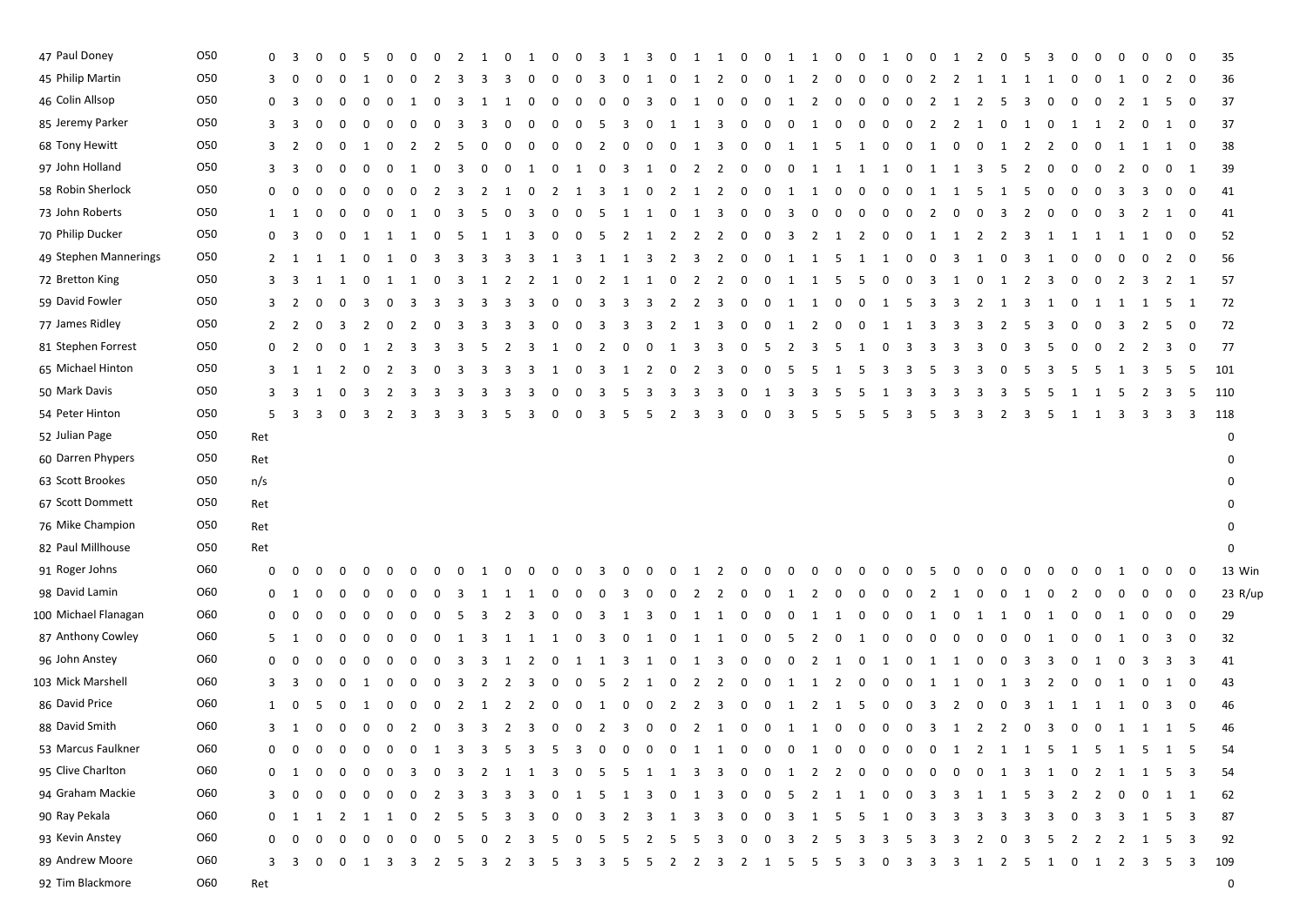| 47 Paul Doney         | <b>O50</b> | $\mathbf{0}$   | $\overline{\mathbf{3}}$ | 0              | $\Omega$       | 5                       | 0                       |                         | $\mathbf{0}$   | 2                       | 1                       | $\mathbf 0$    | 1  | 0              | 0                       | 3                       | 1                       | 3              | 0              | 1                       | $\mathbf{1}$            | $\mathbf{0}$   | $\mathbf{0}$            | 1 1                     |                         | 0                       | 0                       | 1                       | $\mathbf{0}$   | $\mathbf 0$                                         | 1                       | 2                       | $\mathbf 0$    | -5           | 3                       | 0                       |              | 0                       | 0              | $\mathbf 0$             | $\mathbf 0$             | 35          |  |
|-----------------------|------------|----------------|-------------------------|----------------|----------------|-------------------------|-------------------------|-------------------------|----------------|-------------------------|-------------------------|----------------|----|----------------|-------------------------|-------------------------|-------------------------|----------------|----------------|-------------------------|-------------------------|----------------|-------------------------|-------------------------|-------------------------|-------------------------|-------------------------|-------------------------|----------------|-----------------------------------------------------|-------------------------|-------------------------|----------------|--------------|-------------------------|-------------------------|--------------|-------------------------|----------------|-------------------------|-------------------------|-------------|--|
| 45 Philip Martin      | O50        | 3              | $\mathbf 0$             | 0              |                | - 1                     |                         |                         |                | -3                      | 3                       |                |    |                | 0                       | 3                       | 0                       | 1              | 0              | -1                      | 2                       | 0              | $\mathbf 0$             | 1                       | 2                       | 0                       | $\mathbf{0}$            | $\mathbf{0}$            | 0              |                                                     | -2                      | 1                       | <sup>1</sup>   | -1           | -1                      | 0                       | 0            | -1                      | 0              | 2                       | $\mathbf 0$             | 36          |  |
| 46 Colin Allsop       | 050        | 0              | 3                       |                |                |                         | - 0                     |                         |                | 3                       |                         |                |    | 0              | 0                       | 0                       | 0                       | -3             | 0              | 1                       | 0                       | 0              | 0                       | 1                       | 2                       | $\mathbf 0$             | $\mathbf 0$             | $\mathbf 0$             | 0              | 2                                                   | 1                       | 2                       | - 5            | -3           | 0                       | -0                      | $\Omega$     | 2                       | 1              | - 5                     | $\mathbf 0$             | 37          |  |
| 85 Jeremy Parker      | O50        | 3              | -3                      | $\Omega$       | $\Omega$       | 0                       | 0                       | 0                       | 0              | -3                      | 3                       | 0              | 0  | $\mathbf 0$    | $\overline{0}$          | - 5                     | $\overline{\mathbf{3}}$ | 0 1 1 3        |                |                         |                         | $\overline{0}$ | $\mathbf{0}$            | $\overline{\mathbf{0}}$ | 1                       | $\overline{\mathbf{0}}$ | $0\quad 0$              |                         |                | $0 \quad 2 \quad 2$                                 |                         | 1 0                     |                | 1 0          |                         | 1 1                     |              | $\overline{2}$          |                | $0\quad 1$              | $\mathbf{0}$            | 37          |  |
| 68 Tony Hewitt        | O50        | 3              | $\overline{2}$          | 0              | - 0            | - 1                     | n                       | 2                       |                | -5                      | $\Omega$                | 0              | 0  | 0              | - 0                     | 2                       | 0                       | $\mathbf{0}$   | 0              | 1                       | $_{3}$                  | $\mathbf{0}$   | $\overline{0}$          |                         | 1 1 5                   |                         | 1                       | 0                       | $\mathbf{0}$   | 1                                                   | - 0                     | 0                       | 1              | 2            | $\overline{2}$          | -0                      | 0            | -1                      | 1              | $\mathbf{1}$            | $\overline{\mathbf{0}}$ | 38          |  |
| 97 John Holland       | O50        | 3              | -3                      |                |                |                         |                         |                         |                |                         |                         |                |    |                |                         |                         | -3                      | 1              | 0              | -2                      | 2                       | 0              | $\mathbf 0$             | $\mathbf{0}$            | 1                       | <sup>1</sup>            | 1                       | 1                       | 0              | -1                                                  | 1                       | -3                      | - 5            |              | 0                       |                         |              |                         |                | $\mathbf{0}$            | 1                       | 39          |  |
| 58 Robin Sherlock     | <b>O50</b> | 0              | 0                       | 0              | - 0            | 0                       | 0                       | 0                       |                | 3                       | 2                       | 1              | 0  | 2              | 1                       | 3                       | <sup>1</sup>            | $\mathbf 0$    | 2              | 1                       | $\overline{\mathbf{2}}$ | $\mathbf{0}$   | $\mathbf 0$             | 1                       | 1                       | $\mathbf 0$             | 0                       | $\mathbf 0$             | 0              | 1                                                   | 1                       | -5                      | 1              | -5           | 0                       | 0                       | 0            | 3                       | 3              | $\mathbf{0}$            | 0                       | 41          |  |
| 73 John Roberts       | 050        | 1              | 1                       |                |                | 0                       | 0                       |                         | 0              | 3                       | 5                       | 0              | 3  | $\bf{0}$       | 0                       | 5                       | <sup>1</sup>            | 1              | $\mathbf 0$    | 1                       | 3                       | 0              | 0                       | 3                       | $\mathbf{0}$            | $\mathbf 0$             | $\mathbf 0$             | $\mathbf 0$             | $\mathbf 0$    | 2                                                   | 0                       | 0                       | -3             | 2            | $\mathbf 0$             | 0                       |              | 3                       | <sup>2</sup>   | $\mathbf{1}$            | $\mathbf 0$             | 41          |  |
| 70 Philip Ducker      | O50        | 0              | 3                       | 0              | 0              | 1                       | -1                      | 1                       | $\mathbf 0$    | - 5                     | 1                       | $\mathbf{1}$   | 3  | $\mathbf 0$    | $\mathbf 0$             | 5                       | $\overline{2}$          | $\overline{1}$ | 2              | $\overline{\mathbf{2}}$ | 2                       | $\mathbf 0$    | $\mathbf 0$             | 3                       | $\overline{2}$          | $\overline{1}$          | $\overline{2}$          | $\mathbf{0}$            | $\mathbf{0}$   | 1                                                   | 1                       | 2                       | $\overline{2}$ | 3            | 1                       | -1                      | 1            | -1                      | 1              | $\overline{\mathbf{0}}$ | $\mathbf 0$             | 52          |  |
| 49 Stephen Mannerings | O50        | $\mathbf{2}$   | $\mathbf{1}$            |                | 1              | 0                       | -1                      | 0                       | -3             | -3                      | 3                       | -3             | -3 | -1             | -3                      | 1                       | 1                       | -3             | 2              | 3                       | 2                       | $\mathbf 0$    | 0                       | 1 1                     |                         | - 5                     | 1                       | 1                       | 0              | 0                                                   | 3                       | 1                       | 0              | 3            | 1                       | -0                      | 0            | 0                       | 0              | $\overline{2}$          | $\mathbf 0$             | 56          |  |
| 72 Bretton King       | O50        | 3              | - 3                     |                |                | 0                       |                         |                         | 0              | -3                      | 1                       | 2              | -2 | -1             | 0                       | 2                       | -1                      | 1              | 0              | -2                      | 2                       | 0              | 0                       | 1                       | 1                       | - 5                     | 5                       | 0                       | 0              | -3                                                  | 1                       |                         |                | -2           | 3                       |                         |              | 2                       | -3             | 2                       | 1                       | 57          |  |
| 59 David Fowler       | <b>O50</b> | 3              | $\overline{2}$          | 0              | 0              | 3                       | 0                       | 3                       | 3              | 3                       | 3                       | -3             | 3  | 0              | 0                       | 3                       | 3                       | -3             | 2              | 2                       | 3                       | $\mathbf{0}$   | $\mathbf 0$             | 1 1                     |                         | $\mathbf 0$             | 0                       | 1                       | -5             | -3                                                  | 3                       | 2                       | -1             | 3            | 1                       | 0                       | 1            | -1                      | 1              | - 5                     | 1                       | 72          |  |
| 77 James Ridley       | O50        | $\overline{2}$ | $\overline{2}$          | 0              | 3              | 2                       | 0                       | 2                       |                | -3                      | 3                       | -3             | 3  |                | 0                       | 3                       | 3                       | 3              | 2              | -1                      | 3                       | 0              | 0                       | 1                       | 2                       | $\mathbf 0$             | 0                       | -1                      | -1             | -3                                                  | 3                       | 3                       | -2             |              | 3                       | 0                       | 0            | 3                       | <sup>2</sup>   | 5                       | $\mathbf{0}$            | 72          |  |
| 81 Stephen Forrest    | O50        | $\mathbf{0}$   | $\overline{2}$          | 0              | 0              | 1                       | 2                       | 3                       | 3              | 3                       | -5                      | <sup>2</sup>   | -3 |                | 0                       | 2                       | $\mathbf{0}$            | $\mathbf{0}$   | 1              | $\overline{\mathbf{3}}$ | -3                      | $\mathbf{0}$   | - 5                     | 2                       | $\overline{\mathbf{3}}$ | - 5                     | 1                       | $\mathbf 0$             | 3              | -3                                                  | 3                       | 3                       | 0              | 3            | -5                      | 0                       | 0            | 2                       | 2              | $_{3}$                  | 0                       | 77          |  |
| 65 Michael Hinton     | O50        | 3              | 1                       | -1             | 2              | 0                       | 2                       | -3                      | -0             | -3                      | 3                       | -3             | -3 |                | 0                       | -3                      | 1                       | 2              | 0              | $\overline{2}$          | 3                       | $\mathbf{0}$   | 0                       | -5                      | - 5                     | -1                      | -5                      | -3                      | -3             | -5                                                  | -3                      | 3                       | 0              | -5           | 3                       | -5                      | -5           | -1                      | -3             | - 5                     | - 5                     | 101         |  |
| 50 Mark Davis         | O50        | 3              | - 3                     | 1              | 0              | - 3                     | <sup>2</sup>            | -3                      | -3             | -3                      | 3                       | -3             | -3 |                |                         | -3                      | - 5                     | -3             | 3              | -3                      | 3                       | 0              | 1                       | 3                       | -3                      | -5                      | 5                       |                         | -3             | 3                                                   | -3                      | -3                      | -3             |              | -5                      |                         |              | -5                      | <sup>2</sup>   | - 3                     | - 5                     | 110         |  |
| 54 Peter Hinton       | O50        | 5              | $\overline{\mathbf{3}}$ | 3              | 0              | $\overline{\mathbf{3}}$ | $\overline{\mathbf{c}}$ | $_{3}$                  | 3              | 3                       | 3                       | 5              | -3 | $\mathbf{0}$   | $\mathbf 0$             | 3                       | 5                       | 5              | $\overline{2}$ | -3                      | 3                       | 0              | $\overline{0}$          | 3                       | - 5                     | -5                      | 5                       | - 5                     | 3              | - 5                                                 | 3                       | 3                       | $\overline{2}$ | 3            | - 5                     | 1                       | $\mathbf{1}$ | $\overline{\mathbf{3}}$ | 3 3            |                         | $\overline{\mathbf{3}}$ | 118         |  |
| 52 Julian Page        | 050        | Ret            |                         |                |                |                         |                         |                         |                |                         |                         |                |    |                |                         |                         |                         |                |                |                         |                         |                |                         |                         |                         |                         |                         |                         |                |                                                     |                         |                         |                |              |                         |                         |              |                         |                |                         |                         | 0           |  |
| 60 Darren Phypers     | 050        | Ret            |                         |                |                |                         |                         |                         |                |                         |                         |                |    |                |                         |                         |                         |                |                |                         |                         |                |                         |                         |                         |                         |                         |                         |                |                                                     |                         |                         |                |              |                         |                         |              |                         |                |                         |                         | 0           |  |
| 63 Scott Brookes      | 050        | n/s            |                         |                |                |                         |                         |                         |                |                         |                         |                |    |                |                         |                         |                         |                |                |                         |                         |                |                         |                         |                         |                         |                         |                         |                |                                                     |                         |                         |                |              |                         |                         |              |                         |                |                         |                         | 0           |  |
| 67 Scott Dommett      | <b>O50</b> | Ret            |                         |                |                |                         |                         |                         |                |                         |                         |                |    |                |                         |                         |                         |                |                |                         |                         |                |                         |                         |                         |                         |                         |                         |                |                                                     |                         |                         |                |              |                         |                         |              |                         |                |                         |                         | 0           |  |
| 76 Mike Champion      | <b>O50</b> | Ret            |                         |                |                |                         |                         |                         |                |                         |                         |                |    |                |                         |                         |                         |                |                |                         |                         |                |                         |                         |                         |                         |                         |                         |                |                                                     |                         |                         |                |              |                         |                         |              |                         |                |                         |                         | 0           |  |
| 82 Paul Millhouse     | O50        | Ret            |                         |                |                |                         |                         |                         |                |                         |                         |                |    |                |                         |                         |                         |                |                |                         |                         |                |                         |                         |                         |                         |                         |                         |                |                                                     |                         |                         |                |              |                         |                         |              |                         |                |                         |                         | 0           |  |
| 91 Roger Johns        | O60        | 0              | $\mathbf 0$             |                |                | 0                       |                         |                         | 0              | $\mathbf 0$             | 1                       | $\mathbf{0}$   | 0  | $\mathbf 0$    | 0                       | 3                       | 0                       | $\mathbf 0$    | $\mathbf 0$    | 1                       | 2                       | 0              | 0                       | 0                       | $\bf{0}$                | 0                       | 0                       | 0                       |                |                                                     | $\Omega$                | 0                       |                |              |                         | 0                       | 0            |                         | 0              | $\overline{0}$          | $\mathbf{0}$            | 13 Win      |  |
| 98 David Lamin        | O60        | $\mathbf{0}$   | 1                       | 0              | - 0            | n                       | n                       |                         |                | 3                       |                         |                | 1  | 0              | 0                       | 0                       | 3                       | $\mathbf 0$    | 0              | 2                       | 2                       | 0              | 0                       | 1                       | 2                       | 0                       | 0                       | 0                       | $\Omega$       | 2                                                   | -1                      | 0                       | 0              |              | $\Omega$                | -2                      | $\Omega$     | 0                       | 0              | $\mathbf 0$             | $\mathbf 0$             | 23 R/up     |  |
| 100 Michael Flanagan  | O60        | $\mathbf{0}$   | 0                       |                |                |                         |                         |                         |                |                         | 3                       | 2              | -3 |                | 0                       | -3                      |                         | -3             | 0              | -1                      | -1                      | 0              | 0                       | $\bf{0}$                | -1                      | -1                      | 0                       | 0                       |                |                                                     | - 0                     |                         |                |              |                         | 0                       |              | -1                      |                | $\bf{0}$                | 0                       | 29          |  |
| 87 Anthony Cowley     | O60        | 5              | 1                       | 0              | 0              | 0                       | 0                       | 0                       | 0              | 1                       | 3                       | <sup>1</sup>   | 1  | -1             | $\mathbf 0$             | 3                       | $\mathbf{0}$            | $\mathbf{1}$   | 0              | 1 1                     |                         | $\mathbf{0}$   | $\mathbf 0$             | - 5                     | $\overline{2}$          | $\mathbf 0$             | 1                       | $\bf{0}$                | $\bf{0}$       | $\bf{0}$                                            | $\mathbf 0$             | $\mathbf{0}$            | $\mathbf{0}$   | $\mathbf{0}$ | <sup>1</sup>            | 0                       | $\mathbf 0$  | -1                      | 0              | 3                       | $\mathbf 0$             | 32          |  |
| 96 John Anstey        | O60        | 0              | $\Omega$                |                |                | n                       |                         |                         | $\Omega$       | 3                       | 3                       | 1              | 2  | $\mathbf{0}$   | 1                       | 1                       | -3                      | 1              | 0              | 1                       | 3                       | $\mathbf{0}$   | $\mathbf 0$             | $\mathbf 0$             | 2                       | 1                       | $\mathbf 0$             | 1                       | 0              | 1                                                   | 1                       | $\mathbf{0}$            | 0              | 3            | 3                       | 0                       | 1            | 0                       | -3             | 3                       | 3                       | 41          |  |
| 103 Mick Marshell     | O60        | 3              | 3                       | 0              | - 0            | -1                      | 0                       | 0                       | 0              | 3                       | 2                       | $\overline{2}$ | 3  | $\bf{0}$       | $\mathbf 0$             | 5                       | $\overline{2}$          | 1              | $\mathbf 0$    | $\overline{2}$          | 2                       | $\mathbf{0}$   | $\mathbf{0}$            | 1 1                     |                         | 2                       | 0                       | $\overline{0}$          | $\mathbf 0$    | 1                                                   | 1                       | $\bf{0}$                | 1              | 3            | $\overline{2}$          | 0                       | 0            | -1                      | 0              | 1                       | 0                       | 43          |  |
| 86 David Price        | O60        | 1              | - 0                     |                |                | -1                      |                         |                         |                | 2                       | -1                      | $\overline{z}$ | 2  | n              | $\Omega$                | - 1                     | 0                       | 0              | 2              | 2                       | -3                      | $\mathbf{0}$   | 0                       | 1                       | 2                       | 1                       | -5                      | $\mathbf 0$             | $\Omega$       | 3                                                   | -2                      | 0                       | 0              | 3            | 1                       | -1                      | 1            | -1                      | 0              | 3                       | 0                       | 46          |  |
| 88 David Smith        | O60        |                | $3 \quad 1$             | $\overline{0}$ | $\mathbf 0$    | $\overline{0}$          |                         | $0\quad 2$              | $\overline{0}$ | $\overline{\mathbf{3}}$ | $\overline{\mathbf{3}}$ | 2 3            |    | $\overline{0}$ |                         | $0 \quad 2 \quad 3$     |                         | 0 0 2 1        |                |                         |                         |                | 0 0 1 1 0               |                         |                         |                         | $0\quad 0$              |                         |                | 0 3 1 2 2 0 3 0 0 1 1 1 5                           |                         |                         |                |              |                         |                         |              |                         |                |                         |                         | 46          |  |
| 53 Marcus Faulkner    | O60        |                | $0\quad 0$              | $\mathbf{0}$   | $\mathbf{0}$   | $\overline{0}$          |                         | $0\quad 0$              | 1 3            |                         |                         | 3 5 3 5        |    |                | $3 \quad 0$             |                         |                         |                |                |                         |                         |                | 0 0 0 1 1 0 0 0 1 0 0 0 |                         |                         |                         |                         |                         |                | 0 0 1 2 1 1 5 1 5 1                                 |                         |                         |                |              |                         |                         |              |                         | 5 1 5          |                         |                         | 54          |  |
| 95 Clive Charlton     | O60        | 0              | -1                      |                |                |                         |                         |                         |                |                         |                         |                | 1  | 3              | $\Omega$                | -5                      | - 5                     | $\mathbf{1}$   | 1              | -3                      | 3                       | $\mathbf{0}$   | $\overline{0}$          | 1                       | 2                       | 2                       | $\mathbf 0$             | $\Omega$                |                |                                                     |                         | 0                       | 1              | 3            | 1 0                     |                         | 2            | $\mathbf{1}$            | $\overline{1}$ | 5                       | - 3                     | -54         |  |
| 94 Graham Mackie      | O60        | 3              | $\overline{0}$          | 0              | $\Omega$       | $\mathbf 0$             | $\mathbf 0$             | $\overline{\mathbf{0}}$ | 2              | $\overline{\mathbf{3}}$ | 3                       | - 3            | -3 | $\mathbf 0$    | 1 5                     |                         |                         |                |                |                         |                         |                |                         |                         |                         |                         |                         |                         |                | 1 3 0 1 3 0 0 5 2 1 1 0 0 3 3 1 1 5 3 2 2 0 0 1 1   |                         |                         |                |              |                         |                         |              |                         |                |                         |                         | 62          |  |
| 90 Ray Pekala         | O60        | $\mathbf 0$    | 1                       | 1              | $\overline{2}$ | 1                       | 1                       | - 0                     | 2              | - 5                     | - 5                     | - 3            | 3  | $\mathbf{0}$   | $\overline{0}$          | $\overline{\mathbf{3}}$ |                         | 2 3 1 3 3      |                |                         |                         |                | 0 0 3 1 5               |                         |                         |                         | 5                       | $\mathbf{1}$            | 0 <sub>3</sub> |                                                     | $\overline{\mathbf{3}}$ | $\overline{\mathbf{3}}$ | 3              | 3            | $\overline{\mathbf{3}}$ | $\mathbf{0}$            |              |                         | 3 3 1 5 3      |                         |                         | 87          |  |
| 93 Kevin Anstey       | O60        | $\mathbf{0}$   | - 0                     | 0              |                | - 0                     | $\mathbf{0}$            | - 0                     | $\overline{0}$ | 5                       | $\overline{\mathbf{0}}$ | 2 3 5          |    |                | $\overline{\mathbf{0}}$ | $-5$                    | $5^{\circ}$             | 2 5            |                | 5 3                     |                         | $\overline{0}$ | 0 3 2 5                 |                         |                         |                         | $\overline{\mathbf{3}}$ | $\overline{\mathbf{3}}$ | - 5            | $\overline{\mathbf{3}}$<br>$\overline{\mathbf{3}}$  |                         | $\overline{2}$          | 0              | 3            | 5                       | $\overline{\mathbf{2}}$ |              |                         | 2 2 1 5 3      |                         |                         | 92          |  |
| 89 Andrew Moore       | O60        |                | $3 \quad 3$             |                |                | 0 0 1 3 3 2 5 3 2 3 5   |                         |                         |                |                         |                         |                |    |                |                         |                         |                         |                |                |                         |                         |                |                         |                         |                         |                         |                         |                         |                | 3 3 5 5 2 2 3 2 1 5 5 5 3 0 3 3 3 1 2 5 1 0 1 2 3 5 |                         |                         |                |              |                         |                         |              |                         |                |                         | 3                       | 109         |  |
| 92 Tim Blackmore      | <b>O60</b> | Ret            |                         |                |                |                         |                         |                         |                |                         |                         |                |    |                |                         |                         |                         |                |                |                         |                         |                |                         |                         |                         |                         |                         |                         |                |                                                     |                         |                         |                |              |                         |                         |              |                         |                |                         |                         | $\mathbf 0$ |  |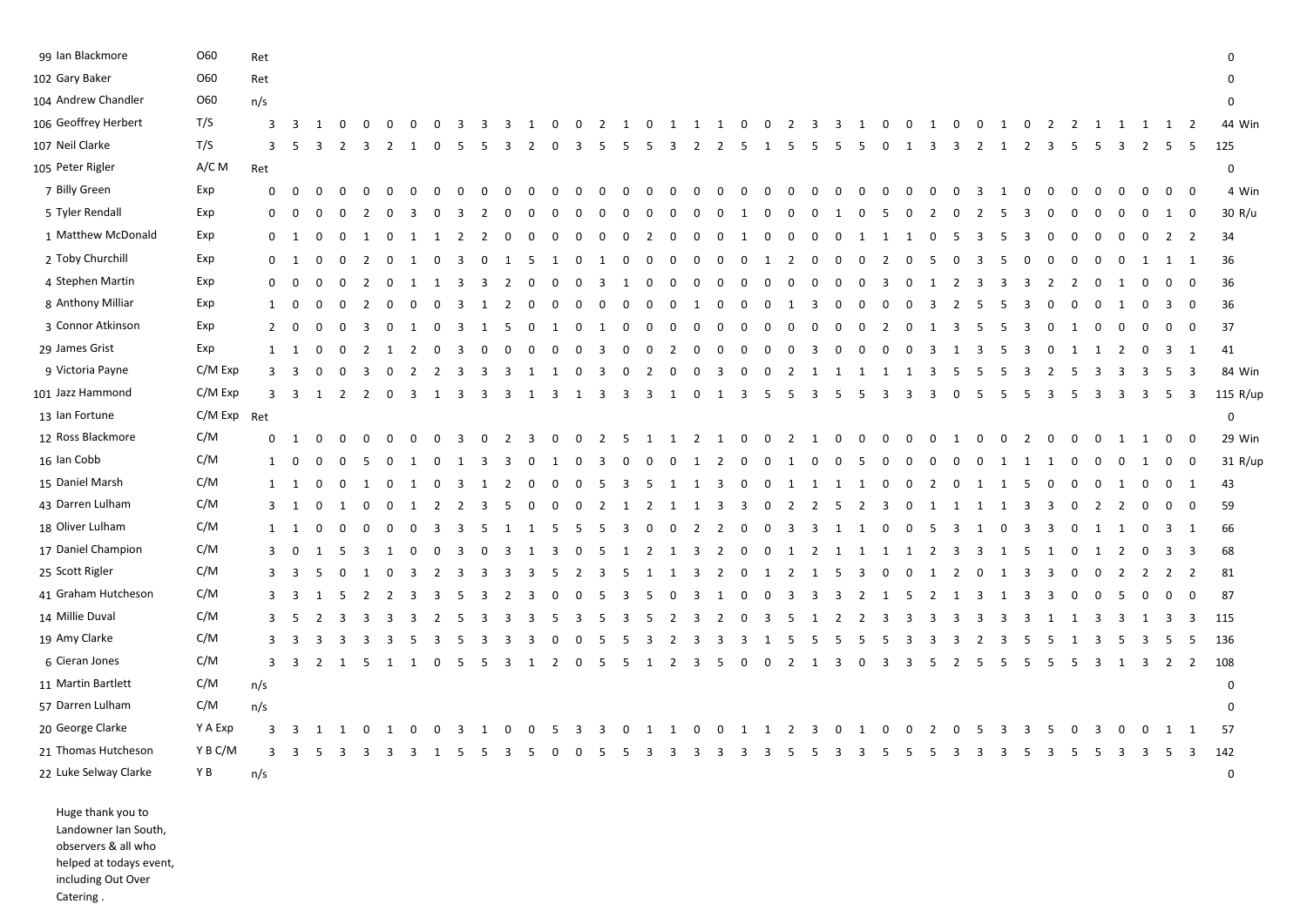| 99 Ian Blackmore                                                 | O60         | Ret          |                         |                |                |                |                         |                         |              |                         |                         |                |          |                |              |                |                         |                |                         |                         |                         |                         |              |                         |                         |                         |                         |                |          |                |                |    |                         |                |                |             |             |                         |                         |                         |                         | $\mathbf 0$ |
|------------------------------------------------------------------|-------------|--------------|-------------------------|----------------|----------------|----------------|-------------------------|-------------------------|--------------|-------------------------|-------------------------|----------------|----------|----------------|--------------|----------------|-------------------------|----------------|-------------------------|-------------------------|-------------------------|-------------------------|--------------|-------------------------|-------------------------|-------------------------|-------------------------|----------------|----------|----------------|----------------|----|-------------------------|----------------|----------------|-------------|-------------|-------------------------|-------------------------|-------------------------|-------------------------|-------------|
| 102 Gary Baker                                                   | O60         | Ret          |                         |                |                |                |                         |                         |              |                         |                         |                |          |                |              |                |                         |                |                         |                         |                         |                         |              |                         |                         |                         |                         |                |          |                |                |    |                         |                |                |             |             |                         |                         |                         |                         | $\Omega$    |
| 104 Andrew Chandler                                              | 060         | n/s          |                         |                |                |                |                         |                         |              |                         |                         |                |          |                |              |                |                         |                |                         |                         |                         |                         |              |                         |                         |                         |                         |                |          |                |                |    |                         |                |                |             |             |                         |                         |                         |                         | $\mathbf 0$ |
| 106 Geoffrey Herbert                                             | T/S         | 3            | $\overline{\mathbf{3}}$ | -1             | $\Omega$       | $\Omega$       | $\Omega$                | $\Omega$                | $\Omega$     | -3                      | ्र                      | -3             | -1       | $\Omega$       | $\Omega$     | 2              | 1                       | $\Omega$       | 1                       | 1                       | $\mathbf{1}$            | $\overline{\mathbf{0}}$ | $\Omega$     | $\overline{2}$          | 3                       | $\overline{\mathbf{3}}$ | -1                      | $\Omega$       | $\Omega$ | -1             | $\Omega$       |    | -1                      | n              | -2             |             |             |                         |                         | 1                       | $\overline{2}$          | 44 Win      |
| 107 Neil Clarke                                                  | T/S         | 3            | - 5                     | З              | $\mathcal{L}$  | 3              | $\overline{2}$          | 1                       |              | -5                      | -5                      | 3              | 2        | 0              | 3            | 5              | -5                      | 5              | 3                       | $\overline{2}$          | 2                       | -5                      | 1            | - 5                     | 5                       | - 5                     | 5                       | 0              | 1        | 3              | -3             | 2  | 1                       | $\overline{2}$ | $\overline{3}$ | -5          | 5           | -3                      | $\overline{2}$          | - 5                     | - 5                     | 125         |
| 105 Peter Rigler                                                 | A/C M       | Ret          |                         |                |                |                |                         |                         |              |                         |                         |                |          |                |              |                |                         |                |                         |                         |                         |                         |              |                         |                         |                         |                         |                |          |                |                |    |                         |                |                |             |             |                         |                         |                         |                         | $\pmb{0}$   |
| 7 Billy Green                                                    | Exp         | 0            | $\mathbf 0$             | $\Omega$       | 0              | $\mathbf 0$    | 0                       | $\Omega$                |              |                         |                         |                | $\Omega$ | 0              | 0            | $\Omega$       | $\Omega$                | $\mathbf 0$    | 0                       | 0                       | 0                       | 0                       | 0            | 0                       | $\Omega$                | $\Omega$                | റ                       | $\Omega$       | 0        | 0              | 0              | -3 | 1                       | $\Omega$       | 0              | 0           | $\mathbf 0$ | $\mathbf{0}$            | 0                       | $\mathbf 0$             | $\overline{0}$          | 4 Win       |
| 5 Tyler Rendall                                                  | Exp         | 0            | $\mathbf 0$             | 0              | $\Omega$       | -2             |                         | -3                      |              | 3                       |                         |                |          |                | 0            |                |                         |                |                         |                         |                         | -1                      |              |                         |                         |                         |                         |                | 0        |                |                |    | 5                       |                |                |             |             |                         | 0                       | 1                       | $\overline{0}$          | 30 R/u      |
| 1 Matthew McDonald                                               | Exp         |              | $0\quad 1$              | 0              | $\mathbf 0$    | 1              | $\mathbf 0$             | 1                       | 1            | $\overline{2}$          | $\overline{2}$          | $\Omega$       | 0        | 0              | $\mathbf 0$  | 0              | $\mathbf 0$             | 2              | 0                       | $\mathbf 0$             | $\overline{0}$          | 1                       | $\mathbf 0$  | $\mathbf 0$             | 0                       | $\overline{0}$          | -1                      | 1              | 1        | 0              | -5             | -3 | -5                      | 3              | $\Omega$       | 0           | 0           | 0                       | 0                       | $\overline{2}$          | $\overline{2}$          | 34          |
| 2 Toby Churchill                                                 | Exp         | $\mathbf 0$  | - 1                     | $\Omega$       | $\Omega$       | 2              | $\Omega$                |                         |              | 3                       | 0                       | 1              | 5        | 1              | 0            | 1              |                         | $\Omega$       | 0                       | 0                       | $\Omega$                | 0                       | -1           | 2                       |                         | 0                       |                         | -2             |          |                |                | 3  | -5                      |                | $\Omega$       |             | 0           | 0                       | 1                       | 1                       | 1                       | 36          |
| 4 Stephen Martin                                                 | Exp         | 0            | $\mathbf{0}$            | $\Omega$       | $\mathbf 0$    | 2              | 0                       | -1                      | -1           | 3                       | 3                       | 2              | $\Omega$ | 0              | 0            | 3              | 1                       | $\Omega$       | 0                       | 0                       | 0                       | $\mathbf 0$             | 0            | 0                       | $\Omega$                | 0                       | - 0                     | 3              | 0        | -1             | -2             | 3  | 3                       | -3             | 2              | 2           | 0           | -1                      | 0                       | $\mathbf{0}$            | $\overline{0}$          | 36          |
| 8 Anthony Milliar                                                | Exp         | $\mathbf{1}$ | $\overline{0}$          | $\Omega$       | $\mathbf 0$    | 2              | $\mathbf 0$             | 0                       | 0            | $\overline{\mathbf{3}}$ | -1                      | 2              | 0        | 0              | $\mathbf{0}$ | 0              | 0                       | 0              | $\overline{0}$          | -1                      | 0                       | $\overline{0}$          | 0            | 1                       | 3                       | 0                       | -0                      | 0              | 0        | 3              | 2              | -5 | -5                      | 3              | 0              | 0           | 0           | -1                      | 0                       | $\overline{\mathbf{3}}$ | $\overline{0}$          | 36          |
| 3 Connor Atkinson                                                | Exp         |              | $2 \quad 0$             | $\Omega$       | 0              | 3              | $\mathbf 0$             | 1                       | 0            | 3                       | 1                       | -5             | 0        | 1              | $\mathbf 0$  | 1              | $\overline{\mathbf{0}}$ | 0              | $\mathbf{0}$            | 0                       | 0                       | $\mathbf 0$             | 0            | $\mathbf 0$             | 0                       | $\mathbf 0$             | -0                      | 2              | 0        | 1              | -3             | -5 | - 5                     | 3              | 0              | 1           | 0           | $\overline{0}$          | $\mathbf 0$             | $0\quad 0$              |                         | 37          |
| 29 James Grist                                                   | Exp         |              | $1 \quad 1$             | $\Omega$       | 0              | 2              | -1                      | $\overline{2}$          | 0            | 3                       | 0                       | 0              | 0        | 0              | 0            | 3              | $\mathbf 0$             | 0              | 2                       | 0                       | 0                       | $\mathbf 0$             | 0            | $\mathbf 0$             | 3                       | 0                       | -0                      | 0              | 0        | 3              | -1             | -3 | - 5                     | 3              | 0              | 1           | 1           | 2                       | 0                       | $\overline{\mathbf{3}}$ | 1                       | 41          |
| 9 Victoria Payne                                                 | C/M Exp     | 3            | $\overline{\mathbf{3}}$ | 0              | 0              | 3              | 0                       | 2                       | 2            | 3                       | 3                       | 3              | 1        | 1              | $\mathbf 0$  | 3              | $\mathbf 0$             | 2              | $\mathbf 0$             | 0                       | $\overline{\mathbf{3}}$ | $\mathbf 0$             | 0            | $\overline{2}$          | 1                       | 1                       | 1                       | 1              | 1        | 3              | -5             | -5 | 5                       | -3             | $\overline{2}$ | 5           | 3           | 3                       | 3                       | -5                      | $\overline{\mathbf{3}}$ | 84 Win      |
| 101 Jazz Hammond                                                 | C/M Exp     | 3            | $\overline{\mathbf{3}}$ | 1              | $\overline{2}$ | $\overline{2}$ | 0                       | $\overline{\mathbf{3}}$ | 1            | 3                       | -3                      | 3              | 1        | 3              | 1            | 3              | 3                       | 3              | 1                       | 0                       | 1                       | $\overline{\mathbf{3}}$ | 5            | 5                       | $\overline{\mathbf{3}}$ | - 5                     | -5                      | 3              | 3        | 3              | 0              | -5 | -5                      | -5             | 3              | 5           | 3           | -3                      | $\overline{\mathbf{3}}$ | 5                       | $\overline{\mathbf{3}}$ | 115 R/up    |
| 13 Ian Fortune                                                   | C/M Exp Ret |              |                         |                |                |                |                         |                         |              |                         |                         |                |          |                |              |                |                         |                |                         |                         |                         |                         |              |                         |                         |                         |                         |                |          |                |                |    |                         |                |                |             |             |                         |                         |                         |                         | $\mathbf 0$ |
| 12 Ross Blackmore                                                | C/M         | $\mathbf 0$  | 1                       | $\mathbf 0$    | 0              | 0              | $\mathbf 0$             | 0                       | $\mathbf 0$  | 3                       | 0                       | $\overline{2}$ | 3        | 0              | $\mathbf 0$  | 2              | - 5                     | $\mathbf{1}$   | 1                       | $\overline{\mathbf{2}}$ | $\mathbf{1}$            | $\overline{0}$          | $\mathbf 0$  | $2 \quad 1$             |                         | $\overline{0}$          | 0                       | 0              | 0        | 0              | 1              | 0  | $\overline{\mathbf{0}}$ | $\overline{2}$ | 0              | 0           | $\mathbf 0$ | 1                       | 1                       | $\overline{0}$          | $\overline{\mathbf{0}}$ | 29 Win      |
| 16 Ian Cobb                                                      | C/M         | $\mathbf{1}$ | $\overline{0}$          | $\Omega$       | 0              | -5             | $\mathbf 0$             | 1                       | $\mathbf 0$  | 1                       | $\overline{\mathbf{3}}$ | 3              | 0        | 1              | $\mathbf 0$  | 3              | 0                       | $\overline{0}$ | $\overline{\mathbf{0}}$ | $\overline{1}$          | $\overline{\mathbf{2}}$ | $\overline{0}$          | $\mathbf 0$  | $\mathbf{1}$            | - 0                     | $\overline{0}$          | -5                      | 0              | 0        | 0              | $\mathbf 0$    | 0  | 1                       | 1              | 1              | 0           | 0           | $\mathbf 0$             | 1                       | $\overline{\mathbf{0}}$ | $\overline{0}$          | $31 R-up$   |
| 15 Daniel Marsh                                                  | C/M         |              | $1 \quad 1$             | 0              | $\mathbf 0$    | 1              | $\mathbf 0$             | 1                       | $\Omega$     | 3                       | -1                      | 2              | 0        | 0              | $\mathbf 0$  | -5             | 3                       | -5             | 1                       | $\mathbf{1}$            | $\overline{\mathbf{3}}$ | $\overline{0}$          | $\mathbf{0}$ | 1 1 1                   |                         |                         | 1                       | 0              | 0        | 2              | $\mathbf{0}$   | 1  | 1                       | -5             | 0              | 0           | $\mathbf 0$ | 1                       | 0                       | $\mathbf{0}$            | 1                       | 43          |
| 43 Darren Lulham                                                 | C/M         | 3            | $\overline{1}$          | 0              | 1              | $\mathbf 0$    | 0                       | 1                       |              | 2                       | 3                       | -5             | 0        | 0              | 0            | $\overline{2}$ | 1                       | 2              | -1                      | 1                       | 3                       | $\overline{\mathbf{3}}$ | $\mathbf 0$  | $\overline{2}$          | 2                       | - 5                     | $\overline{2}$          | 3              | 0        | 1              | -1             |    | 1                       | 3              | 3              | 0           | 2           | 2                       | 0                       | $\mathbf 0$             | $\overline{0}$          | 59          |
| 18 Oliver Lulham                                                 | C/M         | $\mathbf{1}$ | 1                       | 0              | $\mathbf 0$    | $\mathbf 0$    | 0                       | 0                       | 3            | 3                       | -5                      | 1              | 1        | 5              | - 5          | -5             | 3                       | $\mathbf 0$    | 0                       | 2                       | $\overline{2}$          | 0                       | $\mathbf 0$  | $\overline{\mathbf{3}}$ | 3                       | 1                       | -1                      | 0              | 0        | - 5            | -3             | -1 | $\mathbf 0$             | 3              | 3              | 0           | 1           | 1                       | $\mathbf 0$             | $\overline{\mathbf{3}}$ | 1                       | 66          |
| 17 Daniel Champion                                               | C/M         | 3            | $\overline{0}$          | 1              | -5             | 3              | -1                      | 0                       | $\Omega$     | 3                       | 0                       | 3              | -1       | 3              | 0            | -5             | 1                       | 2              | 1                       | 3                       | $\overline{2}$          | $\mathbf 0$             | $\mathbf 0$  | 1                       | 2                       | 1                       | 1                       | $\overline{1}$ | 1        | $\overline{2}$ | 3              | 3  | 1                       | - 5            | 1              | 0           | 1           | 2                       | 0                       | $\overline{\mathbf{3}}$ | $\overline{\mathbf{3}}$ | 68          |
| 25 Scott Rigler                                                  | C/M         | 3            | $\overline{\mathbf{3}}$ | 5              | $\mathbf 0$    |                | 0                       | -3                      |              | 3                       | 3                       | -3             | 3        | 5              | 2            | 3              | -5                      | 1              | 1                       | 3                       | $\overline{2}$          | $\mathbf 0$             | 1            | $\overline{2}$          | 1                       | $-5$                    | 3                       | $\mathbf 0$    | 0        | 1              | 2              | 0  | 1                       | -3             | 3              | 0           | 0           | 2                       | 2                       | $\overline{2}$          | $\overline{2}$          | 81          |
| 41 Graham Hutcheson                                              | C/M         | 3            | 3                       | -1             | -5             | 2              | $\mathcal{L}$           | -3                      | -3           | -5                      | 3                       | 2              | -3       | 0              | 0            | -5             | 3                       | 5              | - 0                     | -3                      | 1                       | $\overline{\mathbf{0}}$ | 0            | -3                      | $\overline{\mathbf{3}}$ | $\overline{\mathbf{3}}$ | 2                       | 1              | - 5      | 2              | 1              | -3 | 1                       | - 3            | -3             | $\mathbf 0$ | $\mathbf 0$ | - 5                     | $\mathbf 0$             | $\overline{\mathbf{0}}$ | $\overline{0}$          | 87          |
| 14 Millie Duval                                                  | C/M         | 3            | - 5                     | 2              | 3              | 3              | 3                       | -3                      | 2            | -5                      |                         | 3              | 3        | -5             | -3           | .5             | 3                       | .5             | 2                       | 3                       | 2                       | 0                       | 3            | - 5                     | 1                       | $\overline{2}$          | -2                      | 3              | 3        | 3              | -3             | -3 | 3                       | 3              | 1              | 1           | 3           | -3                      | 1                       | $\overline{\mathbf{3}}$ | $\overline{\mathbf{3}}$ | 115         |
| 19 Amy Clarke                                                    | C/M         | 3            | $\overline{\mathbf{3}}$ | 3              | 3              | -3             |                         |                         |              |                         |                         | -3             | 3        |                | O            |                |                         |                |                         | 3                       | 3                       | 3                       |              | -5                      | -5                      | - 5                     | -5                      | -5             | 3        | 3              | -3             |    | -3                      | -5             | -5             |             | 3           | -5                      | 3                       | -5                      | 5                       | 136         |
| 6 Cieran Jones                                                   | C/M         | 3            | $\overline{\mathbf{3}}$ | $\overline{2}$ | 1              | - 5            | 1                       | 1                       | $\mathbf{0}$ | - 5                     | - 5                     | 3              | 1        | $\overline{2}$ | $\mathbf{0}$ | - 5            | - 5                     | 1              | $\overline{2}$          | $\overline{\mathbf{3}}$ | 5                       | $\overline{0}$          | $\mathbf{0}$ | $\overline{2}$          | $\mathbf{1}$            | $\overline{\mathbf{3}}$ | $\overline{\mathbf{0}}$ | 3              | 3        | -5             | $\overline{2}$ | -5 | - 5                     | - 5            | -5             | -5          | 3           | 1                       | 3                       | $\overline{2}$          | $\overline{2}$          | 108         |
| 11 Martin Bartlett                                               | C/M         | n/s          |                         |                |                |                |                         |                         |              |                         |                         |                |          |                |              |                |                         |                |                         |                         |                         |                         |              |                         |                         |                         |                         |                |          |                |                |    |                         |                |                |             |             |                         |                         |                         |                         | 0           |
| 57 Darren Lulham                                                 | C/M         | n/s          |                         |                |                |                |                         |                         |              |                         |                         |                |          |                |              |                |                         |                |                         |                         |                         |                         |              |                         |                         |                         |                         |                |          |                |                |    |                         |                |                |             |             |                         |                         |                         |                         | $\mathbf 0$ |
| 20 George Clarke                                                 | Y A Exp     | 3            | $\overline{\mathbf{3}}$ | 1              | -1             | 0              | -1                      | n                       |              | $\mathbf{B}$            | - 1                     | - 0            |          | 5              | -3           | 3              | $\mathbf 0$             | 1              | 1                       | 0                       | $\mathbf{0}$            | $\mathbf{1}$            | 1            | 2                       | 3                       | $\mathbf 0$             | 1                       | 0              | 0        | 2              | $\mathbf 0$    | -5 | 3                       | 3              | -5             | 0           | 3           | $\mathbf 0$             | 0                       | 1 1                     |                         | 57          |
| 21 Thomas Hutcheson                                              | Y B C/M     | 3            | $\overline{\mathbf{3}}$ | -5             | 3              | 3              | $\overline{\mathbf{3}}$ | 3                       | 1            | 5                       | -5                      | 3              | 5        | 0              | 0            | 5              | 5                       | 3              | 3                       | 3                       | 3                       | 3                       | 3            | 5                       | 5                       | 3                       | 3                       | 5              | 5        | 5              | 3              | 3  | 3                       | 5              | 3              | 5           | 5           | $\overline{\mathbf{3}}$ | 3                       | 5                       | $\overline{\mathbf{3}}$ | 142         |
| 22 Luke Selway Clarke                                            | Y B         | n/s          |                         |                |                |                |                         |                         |              |                         |                         |                |          |                |              |                |                         |                |                         |                         |                         |                         |              |                         |                         |                         |                         |                |          |                |                |    |                         |                |                |             |             |                         |                         |                         |                         | $\mathbf 0$ |
| Huge thank you to<br>Landowner Ian South,<br>observers & all who |             |              |                         |                |                |                |                         |                         |              |                         |                         |                |          |                |              |                |                         |                |                         |                         |                         |                         |              |                         |                         |                         |                         |                |          |                |                |    |                         |                |                |             |             |                         |                         |                         |                         |             |

helped at todays event,

including Out Over

Catering .